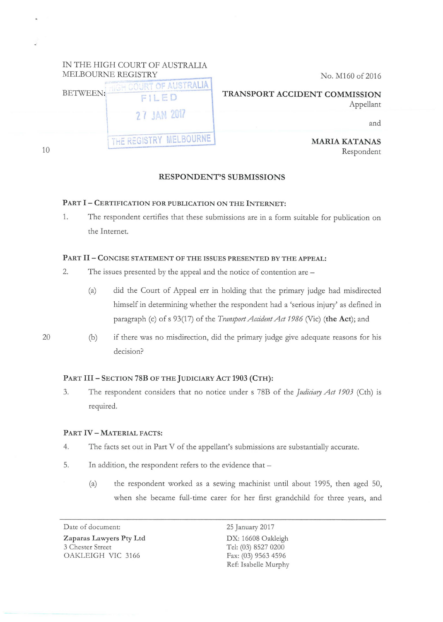| No. M160 of 2016                                  | IN THE HIGH COURT OF AUSTRALIA<br>MELBOURNE REGISTRY      |    |
|---------------------------------------------------|-----------------------------------------------------------|----|
| TRANSPORT ACCIDENT COMMISSION<br>Appellant<br>and | BETWEEN: TIGH COURT OF AUSTRALIA.<br>FILED<br>27 JAN 2017 |    |
| <b>MARIA KATANAS</b><br>Respondent                | THE REGISTRY MELBOURNE                                    | 10 |

## RESPONDENT'S SUBMISSIONS

# PART l- CERTIFICATION FOR PUBLICATION ON THE INTERNET:

1. The respondent certifies that these submissions are in a form suitable for publication on the Internet.

#### PART II - CONCISE STATEMENT OF THE ISSUES PRESENTED BY THE APPEAL:

- 2. The issues presented by the appeal and the notice of contention are -
	- (a) did the Court of Appeal err in holding that the primary judge had misdirected himself in determining whether the respondent had a 'serious injury' as defined in paragraph (c) of s 93(17) of the *Transport Accident Act 1986* (Vie) (the Act); and

20

(b) if there was no misdirection, did the primary judge give adequate reasons for his decision?

## PART III - SECTION 78B OF THE JUDICIARY ACT 1903 (CTH):

3. The respondent considers that no notice under s 78B of the *Judiciary Act 1903* (Cth) *is*  required.

#### PART IV - MATERIAL FACTS:

- 4. The facts set out in Part V of the appellant's submissions are substantially accurate.
- 5. In addition, the respondent refers to the evidence that -
	- (a) the respondent worked as a sewing machinist until about 1995, then aged 50, when she became full-time carer for her first grandchild for three years, and

Date of document: Zaparas Lawyers Pty Ltd 3 Chester Street OAKLEIGH VIC 3166

25 January 2017 DX: 16608 Oakleigh Tel: (03) 8527 0200 Fax: (03) 9563 4596 Ref: Isabelle Murphy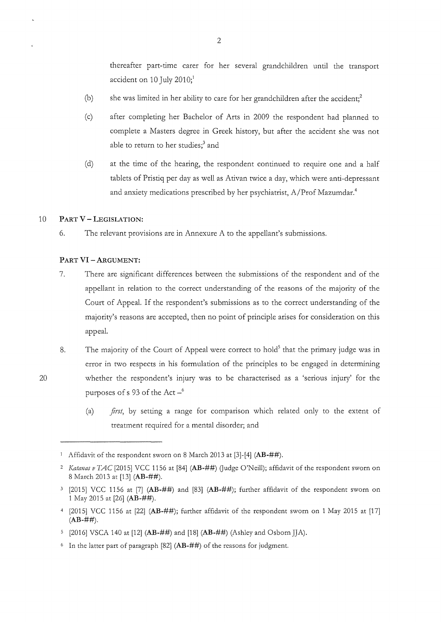thereafter part-time carer for her several grandchildren until the transport accident on 10 July 2010;<sup>1</sup>

- (b) she was limited in her ability to care for her grandchildren after the accident: $2$
- (c) after completing her Bachelor of Arts in 2009 the respondent had planned to complete a Masters degree in Greek history, but after the accident she was not able to return to her studies;<sup>3</sup> and
- (d) at the time of the hearing, the respondent continued to require one and a half tablets of Pristiq per day as well as Ativan twice a day, which were anti-depressant and anxiety medications prescribed by her psychiatrist, A/Prof Mazumdar.<sup>4</sup>

## 10 **PART V- LEGISLATION:**

20

6. The relevant provisions are in Annexure A to the appellant's submissions.

### **PART VI- ARGUMENT:**

- 7. There are significant differences between the submissions of the respondent and of the appellant in relation to the correct understanding of the reasons of the majority of the Court of Appeal. If the respondent's submissions as to the correct understanding of the majority's reasons are accepted, then no point of principle arises for consideration on this appeal.
- 8. The majority of the Court of Appeal were correct to hold<sup>5</sup> that the primary judge was in error in two respects in his formulation of the principles to be engaged in determining whether the respondent's injury was to be characterised as a 'serious injury' for the purposes of s 93 of the Act  $-$ <sup>6</sup>
	- (a) *first*, by setting a range for comparison which related only to the extent of treatment required for a mental disorder; and

<sup>1</sup> Affidavit of the respondent sworn on 8 March 2013 at [3]-[4] **(AB-##).** 

<sup>&</sup>lt;sup>2</sup> Katanas v TAC [2015] VCC 1156 at [84] (AB-##) (Judge O'Neill); affidavit of the respondent sworn on 8 March 2013 at [13] **(AB-##).** 

<sup>3 [2015]</sup> VCC 1156 at [7] **(AB-##)** and [83] **(AB-##);** further affidavit of the respondent sworn on 1 May 2015 at [26] **(AB-##).** 

<sup>4 [2015]</sup> VCC 1156 at [22] **(AB-##);** further affidavit of the respondent sworn on 1 May 2015 at [17]  $(AB-##)$ .

<sup>[2016]</sup> VSCA 140 at [12] **(AB-##)** and [18] **(AB-##)** (Ashley and OsbornJJA).

<sup>6</sup> In the latter part of paragraph [82] **(AB-##)** of the reasons for judgment.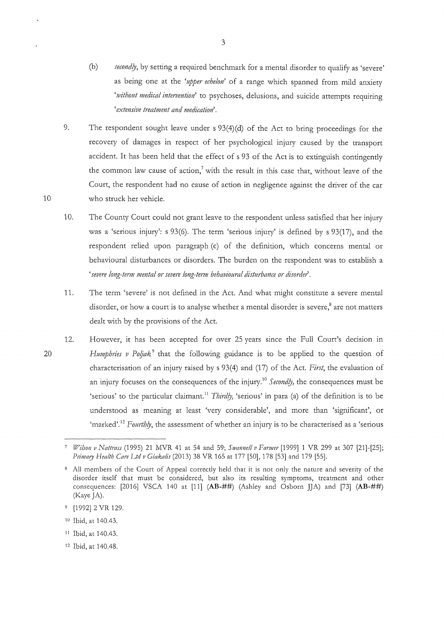- (b) *secondly,* by setting a required benchmark for a mental disorder to qualify as 'severe' as being one at the *'upper echelon'* of a range which spanned from mild anxiety *'1vithout medical intervention'* to psychoses, delusions, and suicide attempts requiring *'extensive treatment and medication'.*
- 9. The respondent sought leave under s 93(4)(d) of the Act to bring proceedings for the recovery of damages in respect of her psychological injury caused by the transport accident. It has been held that the effect of s 93 of the Act is to extinguish contingently the common law cause of action,<sup>7</sup> with the result in this case that, without leave of the Court, the respondent had no cause of action in negligence against the driver of the car who struck her vehicle.
- 10. The County Court could not grant leave to the respondent unless satisfied that her injury was a 'serious injury': s 93(6). The term 'serious injury' is defined by s 93(17), and the respondent relied upon paragraph (c) of the definition, which concerns mental or behavioural disturbances or disorders. The burden on the respondent was to establish a *'severe long-term mental or severe long-tenn behavioural disturbance or disorder.*
- 11. The term 'severe' is not defined in the Act. And what might constitute a severe mental disorder, or how a court is to analyse whether a mental disorder is severe,<sup>8</sup> are not matters dealt with by the provisions of the Act.
- 12. However, it has been accepted for over 25 years since the Full Court's decision in *Humphries v Poljak*<sup>9</sup> that the following guidance is to be applied to the question of characterisation of an injury raised by s 93(4) and (17) of the Act. *First*, the evaluation of an injury focuses on the consequences of the injury. <sup>10</sup>*Secondly,* the consequences must be 'serious' to the particular claimant. <sup>11</sup>*Thirdly,* 'serious' in para (a) of the definition is to be understood as meaning at least 'very considerable', and more than 'significant', or 'marked'.<sup>12</sup> Fourthly, the assessment of whether an injury is to be characterised as a 'serious

- 10 Ibid, at 140.43.
- 11 Ibid,at140.43.
- 12 Ibid, at 140.48.

20

*Wilson v Nattrass* (1995) 21 MVR 41 at 54 and 59; *Swannell v Farmer* [1999] 1 VR 299 at 307 [21]-[25]; *Primary Health Care Ltd v Giakalis* (2013) 38 VR 165 at 177 [50], 178 [53] and 179 [55].

s All members of the Court of Appeal correctly held that it is not only the nature and severity of the disorder itself that must be considered, but also its resulting symptoms, treatment and other consequences: [2016] VSCA 140 at [11]  $(AB - ##)$   $(Ashley and Osborn J]A)$  and [73]  $(AB - ##)$ (Kaye JA).

<sup>&</sup>lt;sup>9</sup> [1992] 2 VR 129.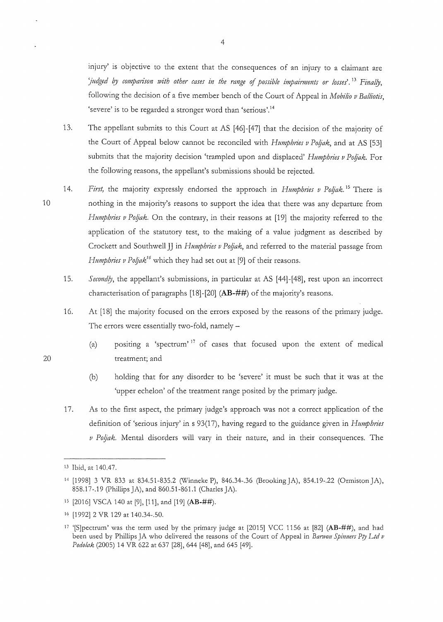injury' is objective to the extent that the consequences of an injury to a claimant are *'judged* 0; *comparison 1vith other cases in the range* of *possible impairmmts or losses'.* <sup>13</sup>*Final!J,*  following the decision of a five member bench of the Court of Appeal in *Mobilio v Bal/iotis,*  'severe' is to be regarded a stronger word than 'serious'. <sup>14</sup>

- 13. The appellant submits to this Court at AS [46]-[47] that the decision of the majority of the Court of Appeal below cannot be reconciled with *Humphries v Poljak*, and at AS [53] submits that the majority decision 'trampled upon and displaced' *Humphries v Poljak*. For the following reasons, the appellant's submissions should be rejected.
- 10 14. *First*, the majority expressly endorsed the approach in *Humphries v Poljak*.<sup>15</sup> There is nothing in the majority's reasons to support the idea that there was any departure from *Humphries v Poljak*. On the contrary, in their reasons at [19] the majority referred to the application of the statutory test, to the making of a value judgment as described by Crockett and Southwell JJ in *Humphries v Poljak*, and referred to the material passage from *Humphries v Poljak<sup>16</sup>* which they had set out at [9] of their reasons.
	- 15. *Secondly*, the appellant's submissions, in particular at AS [44]-[48], rest upon an incorrect characterisation of paragraphs [18]-[20] (AB-##) of the majority's reasons.
	- 16. At [18] the majority focused on the errors exposed by the reasons of the primary judge. The errors were essentially two-fold, namely -
		- (a) positing a 'spectrum' 17 of cases that focused upon the extent of medical treatment; and
		- (b) holding that for any disorder to be 'severe' it must be such that it was at the 'upper echelon' of the treatment range posited by the primary judge.
	- 17. As to the first aspect, the primary judge's approach was not a correct application of the definition of 'serious injury' in s 93(17), having regard to the guidance given in *Humphries v Poljak*. Mental disorders will vary in their nature, and in their consequences. The

<sup>13</sup> Ibid, at 140.47.

<sup>14 [1998] 3</sup> VR 833 at 834.51-835.2 (\Xlinneke P), 846.34-.36 (Brooking JA), 854.19-.22 (Ormiston JA), 858.17-.19 (Phillips JA), and 860.51-861.1 (Charles JA).

<sup>1</sup>s [2016] VSCA 140 at [9], [11], and [19] (AB-##).

<sup>16 [1992] 2</sup> VR 129 at 140.34-.50.

<sup>&</sup>lt;sup>17</sup> '[S]pectrum' was the term used by the primary judge at [2015] VCC 1156 at [82] (AB-##), and had been used by Phillips JA who delivered the reasons of the Court of Appeal in *Banvon Spinners Pry Ltd v Podolak* (2005) 14 VR 622 at 637 [28], 644 [48], and 645 [49].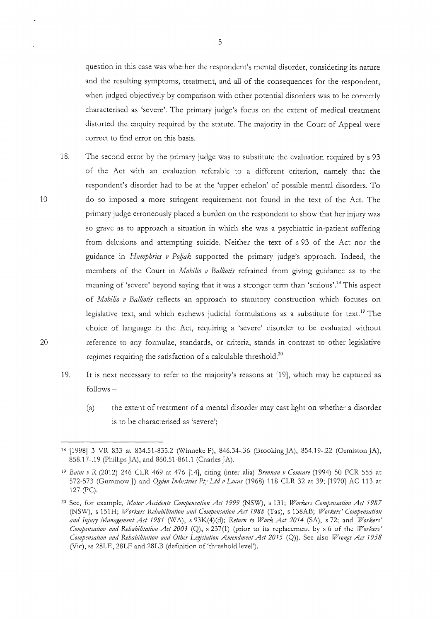question in this case was whether the respondent's mental disorder, considering its nature and the resulting symptoms, treatment, and all of the consequences for the respondent, when judged objectively by comparison with other potential disorders was to be correctly characterised as 'severe'. The primary judge's focus on the extent of medical treatment distorted the enquiry required by the statute. The majority in the Court of Appeal were correct to find error on this basis.

- 18. The second error by the primary judge was to substitute the evaluation required by s 93 of the Act with an evaluation referable to a different criterion, namely that the respondent's disorder had to be at the 'upper echelon' of possible mental disorders. To do so imposed a more stringent requirement not found in the text of the Act. The primary judge erroneously placed a burden on the respondent to show that her injury was so grave as to approach a situation in which she was a psychiatric in-patient suffering from delusions and attempting suicide. Neither the text of s 93 of the Act nor the guidance in *H11mpbries v Po!Jak* supported the primary judge's approach. Indeed, the members of the Court in *Mobilia v Balliotis* refrained from giving guidance as to the meaning of 'severe' beyond saying that it was a stronger term than 'serious'.<sup>18</sup> This aspect of *Mobilia v Balliotis* reflects an approach to statutory construction which focuses on legislative text, and which eschews judicial formulations as a substitute for text.<sup>19</sup> The choice of language in the Act, requiring a 'severe' disorder to be evaluated without reference to any formulae, standards, or criteria, stands in contrast to other legislative regimes requiring the satisfaction of a calculable threshold.<sup>20</sup>
- 19. It is next necessary to refer to the majority's reasons at [19], which may be captured as follows-
	- (a) the extent of treatment of a mental disorder may cast light on whether a disorder is to be characterised as 'severe';

<sup>18 [1998] 3</sup> VR 833 at 834.51-835.2 (Winneke P), 846.34-.36 (Brooking JA), 854.19-.22 (Ormiston JA), 858.17-.19 (Phillips JA), and 860.51-861.1 (Charles JA).

<sup>19</sup> Baini v R (2012) 246 CLR 469 at 476 [14], citing (inter alia) *Brennan v Comcare* (1994) 50 FCR 555 at 572-573 (Gummow J) and *Ogden Industries Pty Ltd v Lucas* (1968) 118 CLR 32 at 39; [1970] AC 113 at 127 (PC).

<sup>&</sup>lt;sup>20</sup> See, for example, *Motor Accidents Compensation Act 1999* (NSW), s 131; *Workers Compensation Act 1987* (NS'W~, s 151 H; *Workers Rehabilitation and Compensation Act 1988* (Tas), s 138AB; *Workers' Compensation*  and Injury Management Act 1981 (WA), s 93K(4)(d); Return to Work Act 2014 (SA), s 72; and *Workers' Compensation and Rehabilitation Act 2003* (Q), s 237 (1) (prior to its replacement by s 6 of the *Workers' Compensation and Rehabilitation and Other Legislation Amendment Act 2015* (Q)). See also *Wrongs Act 1958*  (Vie), ss 28LE, 28LF and 28LB (definition of 'threshold level').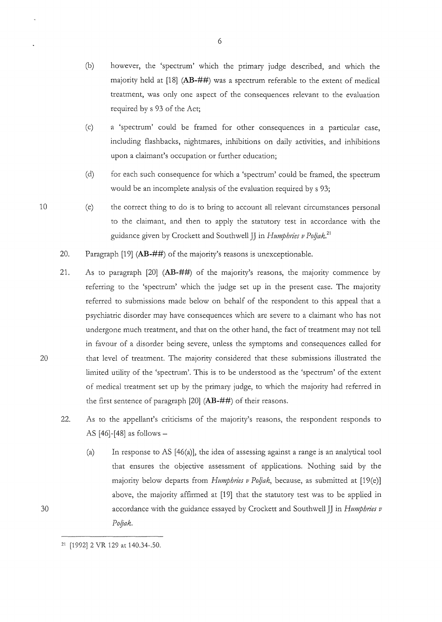- (b) however, the 'spectrum' which the primary judge described, and which the majority held at [18] (AB-##) was a spectrum referable to the extent of medical treatment, was only one aspect of the consequences relevant to the evaluation required by s 93 of the Act;
- (c) a 'spectrum' could be framed for other consequences in a particular case, including flashbacks, nightmares, inhibitions on daily activities, and inhibitions upon a claimant's occupation or further education;
- (d) for each such consequence for which a 'spectrum' could be framed, the spectrum would be an incomplete analysis of the evaluation required by s 93;
- (e) the correct thing to do is to bring to account all relevant circumstances personal to the claimant, and then to apply the statutory test in accordance with the guidance given by Crockett and Southwell JJ in *Humphries v Poljak*.<sup>21</sup>
- 20. Paragraph [19] (AB-##) of the majority's reasons is unexceptionable.
- 21. As to paragraph [20] (AB-##) of the majority's reasons, the majority commence by referring to the 'spectrum' which the judge set up in the present case. The majority referred to submissions made below on behalf of the respondent to this appeal that a psychiatric disorder may have consequences which are severe to a claimant who has not undergone much treatment, and that on the other hand, the fact of treatment may not tell in favour of a disorder being severe, unless the symptoms and consequences called for that level of treatment. The majority considered that these submissions illustrated the limited utility of the 'spectrum'. This is to be understood as the 'spectrum' of the extent of medical treatment set up by the primary judge, to which the majority had referred in the first sentence of paragraph  $[20]$  (AB-##) of their reasons.
- 22. As to the appellant's criticisms of the majority's reasons, the respondent responds to AS  $[46]$ - $[48]$  as follows –
	- (a) In response to AS [46(a)], the idea of assessing against a range is an analytical tool that ensures the objective assessment of applications. Nothing said by the majority below departs from *Humphries v Poljak*, because, as submitted at [19(e)] above, the majority affirmed at [19] that the statutory test was to be applied in accordance with the guidance essayed by Crockett and Southwell JJ in *Humphries v Po!Jak.*

6

30

<sup>21 [1992] 2</sup> VR 129 at 140.34-.50.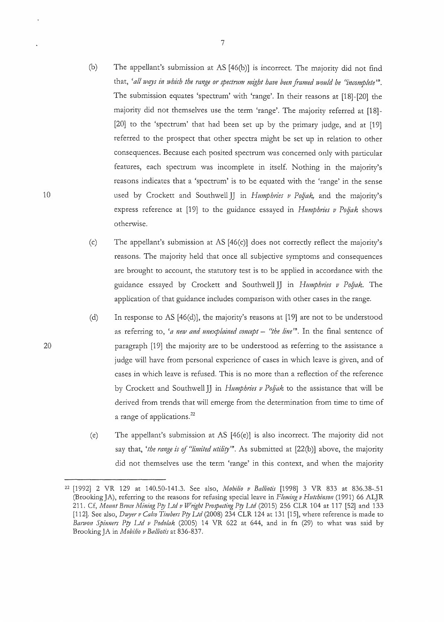- (b) The appellant's submission at AS [46(b)] *is* incorrect. The majority *did* not find that, 'all ways in which the range or spectrum might have been framed would be "incomplete". The submission equates 'spectrum' with 'range'. In their reasons at [18]-[20] the majority did not themselves use the term 'range'. The majority referred at [18]- [20] to the 'spectrum' that had been set up by the primary judge, and at [19] referred to the prospect that other spectra might be set up in relation to other consequences. Because each posited spectrum was concerned only with particular features, each spectrum was incomplete in itself. Nothing in the majority's reasons indicates that a 'spectrum' is to be equated with the 'range' in the sense used by Crockett and Southwell JJ in *Humphries v Poljak,* and the majority's express reference at [19] to the guidance essayed in *Humphries v Pojjak* shows otherwise.
- (c) The appellant's submission at AS [46(c)] does not correctly reflect the majority's reasons. The majority held that once all subjective symptoms and consequences are brought to account, the statutory test is to be applied in accordance with the guidance essayed by Crockett and Southwell JJ in *H11mphries v Poljak.* The application of that guidance includes comparison with other cases in the range.
- (d) In response to AS [46(d)], the majority's reasons at [19] are not to be understood as referring to, 'a new and unexplained concept - "the line". In the final sentence of paragraph [19] the majority are to be understood as referring to the assistance a judge will have from personal experience of cases in which leave is given, and of cases in which leave is refused. This is no more than a reflection of the reference by Crockett and Southwell JJ in *Humphries v Pojjak* to the assistance that will be derived from trends that will emerge from the determination from time to time of a range of applications. <sup>22</sup>
- (e) The appellant's submission at AS [46(e)] is also incorrect. The majority did not say that, *'the range is* of *"limited utility'».* As submitted at [22(b)] above, the majority did not themselves use the term 'range' in this context, and when the majority

7

20

<sup>22 [1992] 2</sup> VR 129 at 140.50-141.3. See also, *Mobilio v Balliotis* [1998] 3 VR 833 at 836.38-.51 (Brooking JA), referring to the reasons for refusing special leave in *Fleming v Hutchinson* (1991) 66 ALJR 211. Cf, *Mo11nt Bmce Mining Pry Ltd v Wrtght Prospecting Pry Ltd* (2015) 256 CLR 104 at 117 [52] and 133 [112]. See also, *Dwyer v Calco Timbers Pty Ltd* (2008) 234 CLR 124 at 131 [15], where reference is made to *Banvo11 Spinners Pry Ltd v Podolak* (2005) 14 VR 622 at 644, and in fn (29) to what was said by Brooking JA in *Mobilio v Balliotis* at 836-837.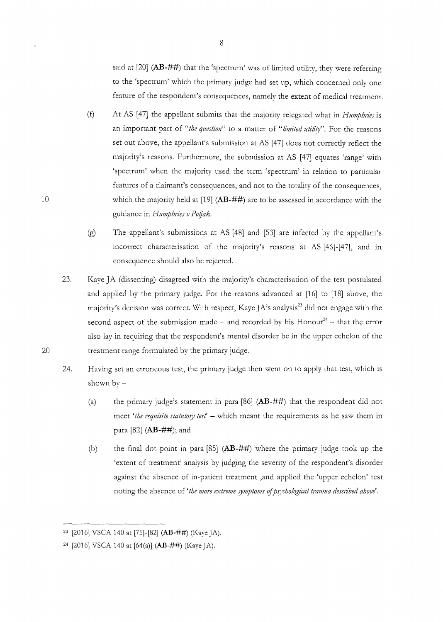said at [20] (AB-##) that the 'spectrum' was of limited utility, they were referring to the 'spectrum' which the primary judge had set up, which concerned only one feature of the respondent's consequences, namely the extent of medical treatment.

- (f) At AS [47] the appellant submits that the majority relegated what in *Humphries* is an important part of "*the question*" to a matter of "*limited utility*". For the reasons set out above, the appellant's submission at AS [47] does not correctly reflect the majority's reasons. Furthermore, the submission at AS [47] equates 'range' with 'spectrum' when the majority used the term 'spectrum' in relation to particular features of a claimant's consequences, and not to the totality of the consequences, which the majority held at  $[19]$  (AB-##) are to be assessed in accordance with the guidance in *Hmnphries v Po!Jak.*
- (g) The appellant's submissions at AS [48] and [53] are infected by the appellant's incorrect characterisation of the majority's reasons at AS [46]-[47], and in consequence should also be rejected.
- 23. Kaye JA (dissenting) disagreed with the majority's characterisation of the test postulated and applied by the primary judge. For the reasons advanced at [16] to [18] above, the majority's decision was correct. With respect, Kaye JA's analysis<sup>23</sup> did not engage with the second aspect of the submission made – and recorded by his Honour<sup>24</sup> – that the error also lay in requiring that the respondent's mental disorder be in the upper echelon of the treatment range formulated by the primary judge.
- 24. Having set an erroneous test, the primary judge then went on to apply that test, which is shown by-
	- (a) the primary judge's statement in para  $[86]$  ( $\bf{AB}$ -##) that the respondent did not meet 'the requisite statutory test' - which meant the requirements as he saw them in para [82] (AB-##); and
	- (b) the final dot point in para [85] (AB-##) where the primary judge took up the 'extent of treatment' analysis by judging the severity of the respondent's disorder against the absence of in-patient treatment ,and applied the 'upper echelon' test noting the absence of 'the more extreme symptoms of psychological trauma described above'.

10

<sup>&</sup>lt;sup>23</sup> [2016] VSCA 140 at [75]-[82] (AB-##) (Kaye JA).

<sup>&</sup>lt;sup>24</sup> [2016] VSCA 140 at  $[64(a)]$  (AB-##) (Kaye JA).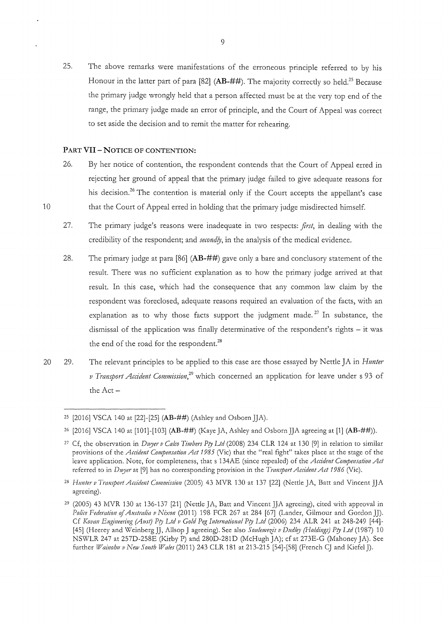25. The above remarks were manifestations of the erroneous principle referred to by his Honour in the latter part of para [82] **(AB-##)**. The majority correctly so held.<sup>25</sup> Because the primary judge wrongly held that a person affected must be at the very top end of the range, the primary judge made an error of principle, and the Court of Appeal was correct to set aside the decision and to remit the matter for rehearing.

#### **PART VII-NOTICE OF CONTENTION:**

- 26. By her notice of contention, the respondent contends that the Court of Appeal erred in rejecting her ground of appeal that the primary judge failed to give adequate reasons for his decision.<sup>26</sup> The contention is material only if the Court accepts the appellant's case that the Court of Appeal erred in holding that the primary judge misdirected himself.
- 27. The primary judge's reasons were inadequate in two respects: *first,* in dealing with the credibility of the respondent; and *secondly,* in the analysis of the medical evidence.
- 28. The primary judge at para [86] **(AB-##)** gave only a bare and conclusory statement of the result. There was no sufficient explanation as to how the primary judge arrived at that result. In this case, which had the consequence that any common law claim by the respondent was foreclosed, adequate reasons required an evaluation of the facts, with an explanation as to why those facts support the judgment made.<sup>27</sup> In substance, the dismissal of the application was finally determinative of the respondent's rights  $-$  it was the end of the road for the respondent.<sup>28</sup>
- 20 29. The relevant principles to be applied to this case are those essayed by Nettle JA in *Hunter v Transport Accident Commission*<sup>29</sup> which concerned an application for leave under s 93 of the Act-

<sup>&</sup>lt;sup>25</sup> [2016] VSCA 140 at [22]-[25] **(AB-##)** (Ashley and Osborn JJA).

<sup>26 [2016]</sup> VSCA 140 at [1 01 ]-[1 03] **(AB-##)** (Kaye JA, Ashley and Os born ]]A agreeing at [1] **(AB-##)).** 

<sup>27</sup> Cf, the observation in *Duyer v Calco Timbers Pry Ltd* (2008) 234 CLR 124 at 130 [9] in relation to similar provisions of the *Accident Compmsation Act* 1985 (Vie) that the "real fight" takes place at the stage of the leave application. Note, for completeness, that s 134AE (since repealed) of the *Accident Compensation Act*  referred to in *Du;yer* at [9] has no corresponding provision in the *Transport Accidmt Act* 1986 (Vie).

<sup>&</sup>lt;sup>28</sup> Hunter v Transport Accident Commission (2005) 43 MVR 130 at 137 [22] (Nettle JA, Batt and Vincent JJA agreeing).

<sup>&</sup>lt;sup>29</sup> (2005) 43 MVR 130 at 136-137 [21] (Nettle JA, Batt and Vincent JJA agreeing), cited with approval in *Police Federation* of *A11stralia v Nixon* (2011) 198 FCR 267 at 284 [67] (Lander, Gilmour and Gordon JJ). Cf *Kovan Engineering (A11St) Pry Ltd v Gold Peg International Pry Ltd* (2006) 234 ALR 241 at 248-249 [44]- [45] (Heerey and Weinberg JJ, Allsop J agreeing). See also Soulemezis v Dudley (Holdings) Pty Ltd (1987) 10 NSWLR 247 at 257D-258E (Kirby P) and 280D-281D (McHugh ]A); cf at 273E-G (Mahoney JA). See further *Wainoh11 v Ne1v So 11th Wales* (2011) 243 CLR 181 at 213-215 [54]-[58] (French CJ and Kiefel J).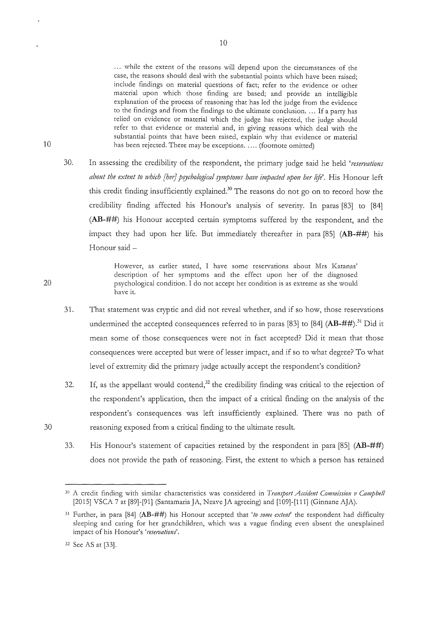... while the extent of the reasons will depend upon the circumstances of the case, the reasons should deal with the substantial points which have been raised; include findings on material questions of fact; refer to the evidence or other material upon which those finding are based; and provide an intelligible explanation of the process of reasoning that has led the judge from the evidence to the findings and from the findings to the ultimate conclusion .... If a party has relied on evidence or material which the judge has rejected, the judge should refer to that evidence or material and, in giving reasons which deal with the substantial points that have been raised, explain why that evidence or material has been rejected. There may be exceptions ..... (footnote omitted)

30. In assessing the credibility of the respondent, the primary judge said he held *'reservations about the extent to which [her] psychological symptoms have impacted upon her life'.* His Honour left this credit finding insufficiently explained.<sup>30</sup> The reasons do not go on to record how the credibility finding affected his Honour's analysis of severity. In paras [83] to [84] (AB-##) his Honour accepted certain symptoms suffered by the respondent, and the impact they had upon her life. But immediately thereafter in para [85] (AB-##) his Honour said -

> However, as earlier stated, I have some reservations about Mrs Katanas' description of her symptoms and the effect upon her of the diagnosed psychological condition. I do not accept her condition is as extreme as she would have it.

- 31. That statement was cryptic and did not reveal whether, and if so how, those reservations undermined the accepted consequences referred to in paras [83] to [84]  $(AB-##)$ .<sup>31</sup> Did it mean some of those consequences were not in fact accepted? Did it mean that those consequences were accepted but were of lesser impact, and if so to what degree? To what level of extremity did the primary judge actually accept the respondent's condition?
- 32. If, as the appellant would contend,<sup>32</sup> the credibility finding was critical to the rejection of the respondent's application, then the impact of a critical finding on the analysis of the respondent's consequences was left insufficiently explained. There was no path of reasoning exposed from a critical finding to the ultimate result.
- 33. His Honour's statement of capacities retained by the respondent in para [85] (AB-##) does not provide the path of reasoning. First, the extent to which a person has retained

10

20

30

<sup>3°</sup> A credit finding with similar characteristics was considered in *Transport Accident Commission v Campbe/1*  [2015] VSCA 7 at [89]-[91] (Santamaria JA, Neave JA agreeing) and [109]-[111] (Ginnane AJA).

<sup>3</sup>1 Further, in para [84] (AB-##) his Honour accepted that *'to some extmf* the respondent had difficulty sleeping and caring for her grandchildren, which was a vague finding even absent the unexplained impact of his Honour's *'reservations'.* 

<sup>32</sup> See AS at [33].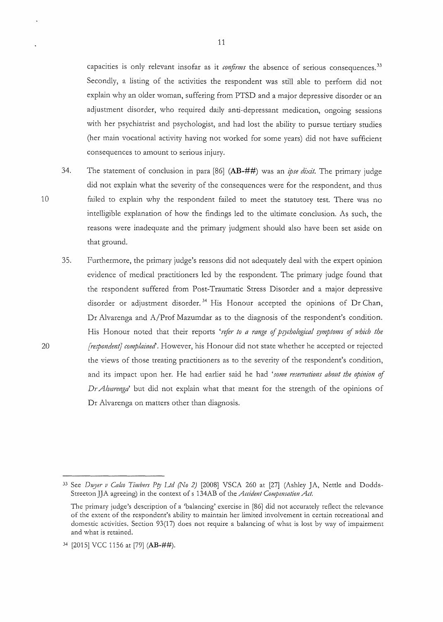capacities is only relevant insofar as it *confirms* the absence of serious consequences. 33 Secondly, a listing of the activities the respondent was still able to perform did not explain why an older woman, suffering from PTSD and a major depressive disorder or an adjustment disorder, who required daily anti-depressant medication, ongoing sessions with her psychiatrist and psychologist, and had lost the ability to pursue tertiary studies (her main vocational activity having not worked for some years) did not have sufficient consequences to amount to serious injury.

- 34. The statement of conclusion in para [86] (AB-##) was an *ipse dixit.* The primary judge did not explain what the severity of the consequences were for the respondent, and thus failed to explain why the respondent failed to meet the statutory test. There was no intelligible explanation of how the findings led to the ultimate conclusion. As such, the reasons were inadequate and the primary judgment should also have been set aside on that ground.
- 35. Furthermore, the primary judge's reasons did not adequately deal with the expert opinion evidence of medical practitioners led by the respondent. The primary judge found that the respondent suffered from Post-Traumatic Stress Disorder and a major depressive disorder or adjustment disorder.<sup>34</sup> His Honour accepted the opinions of Dr Chan, Dr Alvarenga and A/Prof Mazumdar as to the diagnosis of the respondent's condition. His Honour noted that their reports 'refer to a range of psychological symptoms of which the *[respondent] complained'.* However, his Honour did not state whether he accepted or rejected the views of those treating practitioners as to the severity of the respondent's condition, and its impact upon her. He had earlier said he had *'some reservations about the opinion* of *DrAlvarenga'* but did not explain what that meant for the strength of the opinions of Dr Alvarenga on matters other than diagnosis.

20

<sup>&</sup>lt;sup>33</sup> See *Dwyer v Calco Timbers Pty Ltd (No 2)* [2008] VSCA 260 at [27] (Ashley JA, Nettle and Dodds-Streeton JJA agreeing) in the context of s 134AB of the *Accident Compemation Act.* 

The primary judge's description of a 'balancing' exercise in [86] did not accurately reflect the relevance of the extent of the respondent's ability to maintain her limited involvement in certain recreational and domestic activities. Section 93(17) does not require a balancing of what is lost by way of impairment and what is retained.

<sup>34</sup> [2015] VCC 1156 at [79] (AB-##).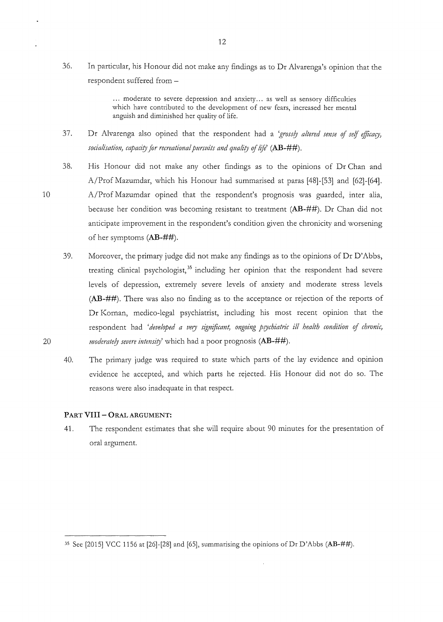36. In particular, his Honour did not make any findings as to Dr Alvarenga's opinion that the respondent suffered from-

> ... moderate to severe depression and anxiety... as well as sensory difficulties which have contributed to the development of new fears, increased her mental anguish and diminished her quality of life.

37. Dr Alvarenga also opined that the respondent had a *'gross!J altered sense* of *se!f efficary, socialisation, capacity for recreational pursuits and quality of life'* (AB-##).

38. *His* Honour did not make any other findings as to the opinions of Dr Chan and A/Prof Mazumdar, which his Honour had summarised at paras [48]-[53] and [62]-[64]. A/Prof Mazumdar opined that the respondent's prognosis was guarded, inter alia, because her condition was becoming resistant to treatment **(AB-##).** Dr Chan did not anticipate improvement in the respondent's condition given the chronicity and worsening of her symptoms **(AB-##).** 

- 39. Moreover, the primary judge did not make any findings as to the opinions of Dr D'Abbs, treating clinical psychologist, 35 including her opinion that the respondent had severe levels of depression, extremely severe levels of anxiety and moderate stress levels **(AB-##).** There was also no finding as to the acceptance or rejection of the reports of Dr Kornan, medico-legal psychiatrist, including his most recent opinion that the respondent had *'developed a very significant, ongoing p{Jchiatric ill health condition* of *chronic, moderately severe intensity*' which had a poor prognosis (AB-##).
- 40. The primary judge was required to state which parts of the lay evidence and opinion evidence he accepted, and which parts he rejected. His Honour did not do so. The reasons were also inadequate in that respect.

#### **PART VIII- ORAL ARGUMENT:**

41. The respondent estimates that she will require about 90 minutes for the presentation of oral argument.

20

<sup>35</sup> See [2015] VCC 1156 at [26]-[28] and [65], summarising the opinions ofDr D'Abbs **(AB-##).**